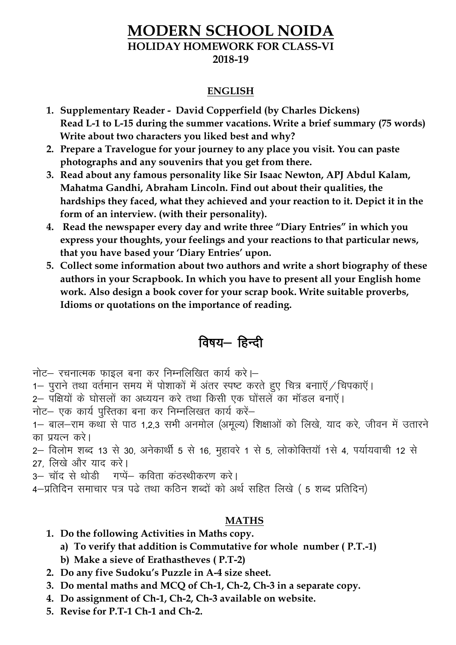# **MODERN SCHOOL NOIDA HOLIDAY HOMEWORK FOR CLASS-VI** 2018-19

#### **ENGLISH**

- 1. Supplementary Reader David Copperfield (by Charles Dickens) Read L-1 to L-15 during the summer vacations. Write a brief summary (75 words) Write about two characters you liked best and why?
- 2. Prepare a Travelogue for your journey to any place you visit. You can paste photographs and any souvenirs that you get from there.
- 3. Read about any famous personality like Sir Isaac Newton, APJ Abdul Kalam, Mahatma Gandhi, Abraham Lincoln. Find out about their qualities, the hardships they faced, what they achieved and your reaction to it. Depict it in the form of an interview. (with their personality).
- 4. Read the newspaper every day and write three "Diary Entries" in which you express your thoughts, your feelings and your reactions to that particular news, that you have based your 'Diary Entries' upon.
- 5. Collect some information about two authors and write a short biography of these authors in your Scrapbook. In which you have to present all your English home work. Also design a book cover for your scrap book. Write suitable proverbs, Idioms or quotations on the importance of reading.

विषय- हिन्दी

नोट– रचनात्मक फाइल बना कर निम्नलिखित कार्य करे।–

1– पुराने तथा वर्तमान समय में पोशाकों में अंतर स्पष्ट करते हुए चित्र बनााएँ / चिपकाएँ ।

2– पक्षियों के घोसलों का अध्ययन करे तथा किसी एक घोंसलें का मॉडल बनाएँ।

नोट- एक कार्य पुस्तिका बना कर निम्नलिखत कार्य करें-

1– बाल–राम कथा से पाठ 1,2,3 सभी अनमोल (अमूल्य) शिक्षाओं को लिखे, याद करे, जीवन में उतारने का प्रयत्न करे।

2– विलोम शब्द 13 से 30, अनेकार्थी 5 से 16, मुहावरे 1 से 5, लोकोक्तियॉ 1से 4, पर्यायवाची 12 से

- 27, लिखे और याद करे।
- 3- चॉद से थोडी गप्पें- कविता कंठस्थीकरण करे।

4-प्रतिदिन समाचार पत्र पढे तथा कठिन शब्दों को अर्थ सहित लिखे (5 शब्द प्रतिदिन)

## **MATHS**

- 1. Do the following Activities in Maths copy.
	- a) To verify that addition is Commutative for whole number (P.T.-1)
	- b) Make a sieve of Erathastheves (P.T-2)
- 2. Do any five Sudoku's Puzzle in A-4 size sheet.
- 3. Do mental maths and MCQ of Ch-1, Ch-2, Ch-3 in a separate copy.
- 4. Do assignment of Ch-1, Ch-2, Ch-3 available on website.
- 5. Revise for P.T-1 Ch-1 and Ch-2.